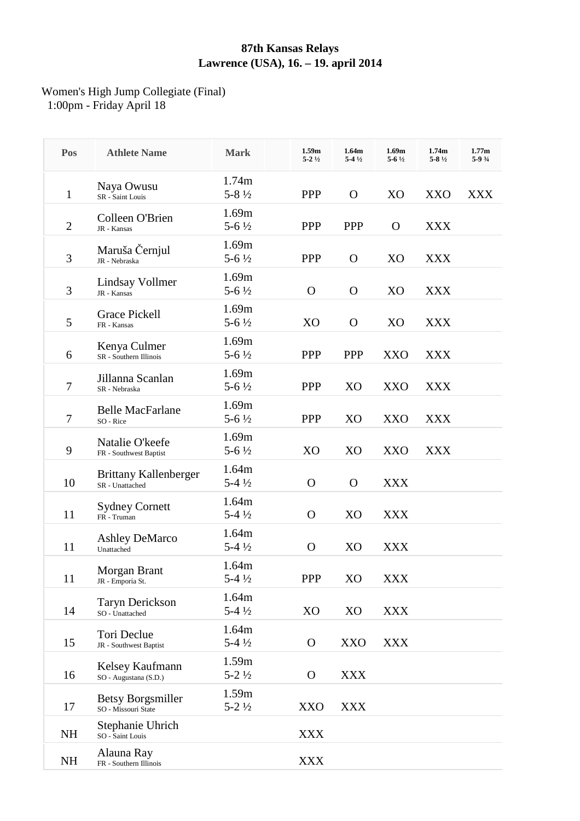## **87th Kansas Relays Lawrence (USA), 16. – 19. april 2014**

## Women's High Jump Collegiate (Final) 1:00pm - Friday April 18

| Pos            | <b>Athlete Name</b>                             | <b>Mark</b>                 | 1.59m<br>$5 - 2\frac{1}{2}$ | 1.64m<br>$5-4\frac{1}{2}$ | 1.69 <sub>m</sub><br>$5 - 6\frac{1}{2}$ | 1.74m<br>$5 - 8\frac{1}{2}$ | 1.77m<br>$5-93/4$ |
|----------------|-------------------------------------------------|-----------------------------|-----------------------------|---------------------------|-----------------------------------------|-----------------------------|-------------------|
| $\mathbf{1}$   | Naya Owusu<br>SR - Saint Louis                  | 1.74m<br>$5 - 8\frac{1}{2}$ | <b>PPP</b>                  | $\Omega$                  | X <sub>O</sub>                          | XXO                         | <b>XXX</b>        |
| $\overline{2}$ | Colleen O'Brien<br>JR - Kansas                  | 1.69m<br>$5 - 6\frac{1}{2}$ | <b>PPP</b>                  | <b>PPP</b>                | O                                       | <b>XXX</b>                  |                   |
| 3              | Maruša Černjul<br>JR - Nebraska                 | 1.69m<br>$5 - 6\frac{1}{2}$ | <b>PPP</b>                  | $\mathbf{O}$              | X <sub>O</sub>                          | <b>XXX</b>                  |                   |
| 3              | Lindsay Vollmer<br>JR - Kansas                  | 1.69m<br>$5 - 6\frac{1}{2}$ | $\Omega$                    | $\mathbf{O}$              | X <sub>O</sub>                          | <b>XXX</b>                  |                   |
| 5              | Grace Pickell<br>FR - Kansas                    | 1.69m<br>$5 - 6\frac{1}{2}$ | X <sub>O</sub>              | $\mathbf{O}$              | X <sub>O</sub>                          | <b>XXX</b>                  |                   |
| 6              | Kenya Culmer<br>SR - Southern Illinois          | 1.69m<br>$5 - 6\frac{1}{2}$ | <b>PPP</b>                  | <b>PPP</b>                | <b>XXO</b>                              | <b>XXX</b>                  |                   |
| 7              | Jillanna Scanlan<br>SR - Nebraska               | 1.69m<br>$5 - 6\frac{1}{2}$ | <b>PPP</b>                  | X <sub>O</sub>            | <b>XXO</b>                              | <b>XXX</b>                  |                   |
| $\tau$         | <b>Belle MacFarlane</b><br>SO - Rice            | 1.69m<br>$5 - 6\frac{1}{2}$ | <b>PPP</b>                  | X <sub>O</sub>            | XXO                                     | <b>XXX</b>                  |                   |
| 9              | Natalie O'keefe<br>FR - Southwest Baptist       | 1.69m<br>$5 - 6\frac{1}{2}$ | X <sub>O</sub>              | X <sub>O</sub>            | XXO                                     | XXX                         |                   |
| 10             | Brittany Kallenberger<br>SR - Unattached        | 1.64m<br>$5-4\frac{1}{2}$   | $\Omega$                    | $\Omega$                  | <b>XXX</b>                              |                             |                   |
| 11             | <b>Sydney Cornett</b><br>FR - Truman            | 1.64m<br>$5-4\frac{1}{2}$   | $\mathbf{O}$                | X <sub>O</sub>            | <b>XXX</b>                              |                             |                   |
| 11             | <b>Ashley DeMarco</b><br>Unattached             | 1.64m<br>$5-4\frac{1}{2}$   | $\mathbf{O}$                | X <sub>O</sub>            | <b>XXX</b>                              |                             |                   |
| 11             | Morgan Brant<br>JR - Emporia St.                | 1.64m<br>$5-4\frac{1}{2}$   | PPP                         | X <sub>O</sub>            | <b>XXX</b>                              |                             |                   |
| 14             | Taryn Derickson<br>SO - Unattached              | 1.64m<br>$5-4\frac{1}{2}$   | XO                          | XO                        | <b>XXX</b>                              |                             |                   |
| 15             | Tori Declue<br>JR - Southwest Baptist           | 1.64m<br>$5-4\frac{1}{2}$   | $\mathbf{O}$                | XXO                       | <b>XXX</b>                              |                             |                   |
| 16             | Kelsey Kaufmann<br>SO - Augustana (S.D.)        | 1.59m<br>$5 - 2\frac{1}{2}$ | $\mathbf{O}$                | XXX                       |                                         |                             |                   |
| 17             | <b>Betsy Borgsmiller</b><br>SO - Missouri State | 1.59m<br>$5 - 2\frac{1}{2}$ | XXO                         | <b>XXX</b>                |                                         |                             |                   |
| <b>NH</b>      | Stephanie Uhrich<br>SO - Saint Louis            |                             | XXX                         |                           |                                         |                             |                   |
| <b>NH</b>      | Alauna Ray<br>FR - Southern Illinois            |                             | XXX                         |                           |                                         |                             |                   |